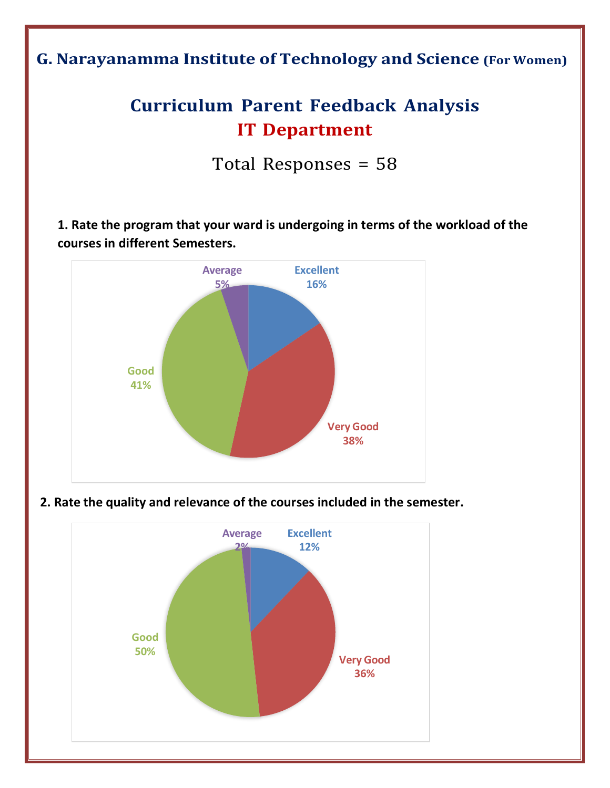**G. Narayanamma Institute of Technology and Science (For Women)**

# **Curriculum Parent Feedback Analysis IT Department**

Total Responses = 58

**1. Rate the program that your ward is undergoing in terms of the workload of the courses in different Semesters.**



**2. Rate the quality and relevance of the courses included in the semester.**

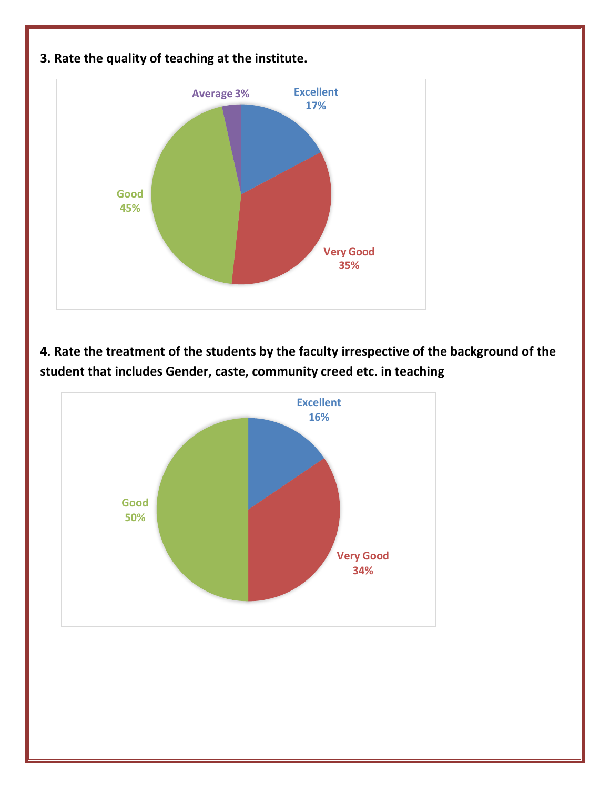

**4. Rate the treatment of the students by the faculty irrespective of the background of the student that includes Gender, caste, community creed etc. in teaching**

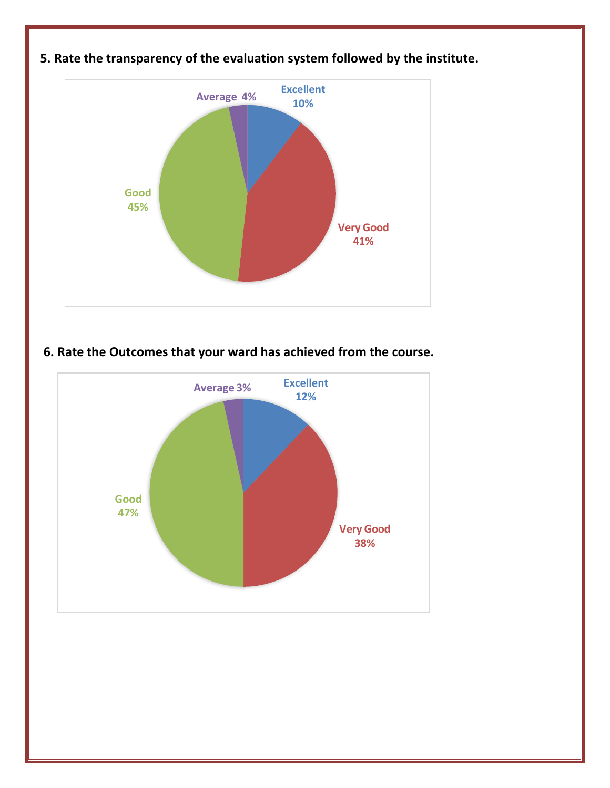

## **5. Rate the transparency of the evaluation system followed by the institute.**

### **6. Rate the Outcomes that your ward has achieved from the course.**

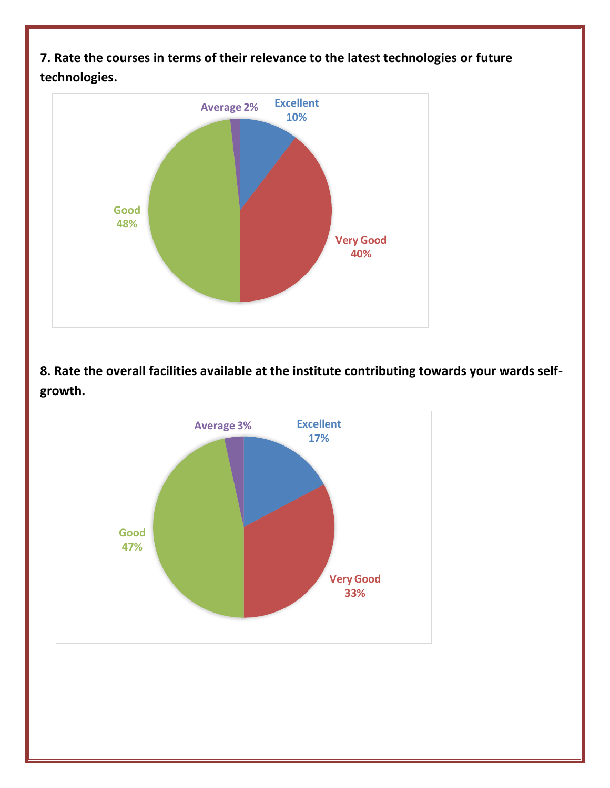**7. Rate the courses in terms of their relevance to the latest technologies or future technologies.**



**8. Rate the overall facilities available at the institute contributing towards your wards selfgrowth.**